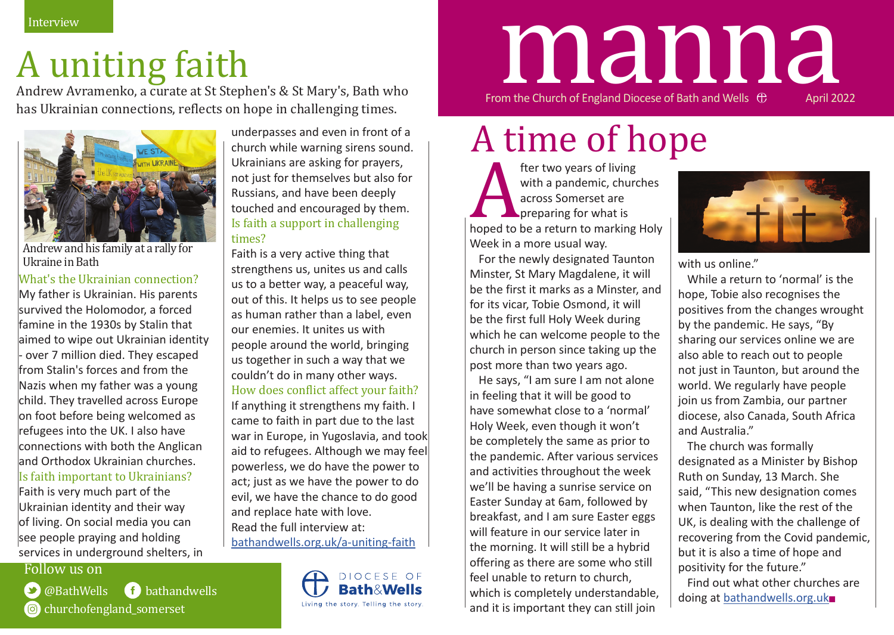### A uniting faith

Andrew Avramenko, a curate at St Stephen's & St Mary's, Bath who has Ukrainian connections, reflects on hope in challenging times.



Andrew and his family at a rally for Ukraine in Bath

#### What's the Ukrainian connection?

My father is Ukrainian. His parents survived the Holomodor, a forced famine in the 1930s by Stalin that aimed to wipe out Ukrainian identity - over 7 million died. They escaped from Stalin's forces and from the Nazis when my father was a young child. They travelled across Europe on foot before being welcomed as refugees into the UK. I also have connections with both the Anglican and Orthodox Ukrainian churches. Is faith important to Ukrainians?

Faith is very much part of the Ukrainian identity and their way of living. On social media you can see people praying and holding services in underground shelters, in

Follow us on

@BathWells bathandwells churchofengland somerset

underpasses and even in front of a church while warning sirens sound. Ukrainians are asking for prayers, not just for themselves but also for Russians, and have been deeply touched and encouraged by them. Is faith a support in challenging times?

Faith is a very active thing that strengthens us, unites us and calls us to a better way, a peaceful way, out of this. It helps us to see people as human rather than a label, even our enemies. It unites us with people around the world, bringing us together in such a way that we couldn't do in many other ways. How does conflict affect your faith?

If anything it strengthens my faith. I came to faith in part due to the last war in Europe, in Yugoslavia, and took aid to refugees. Although we may feel powerless, we do have the power to act; just as we have the power to do evil, we have the chance to do good and replace hate with love. Read the full interview at: bathandwells.org.uk/a-uniting-faith



# From the Church of England Diocese of Bath and Wells  $\oplus$  April 2022 manna

# A time of hope

fter two years of living<br>with a pandemic, churcacross Somerset are<br>preparing for what is<br>hoped to be a return to marking<br>Week in a more usual way. with a pandemic, churches across Somerset are preparing for what is hoped to be a return to marking Holy Week in a more usual way.

For the newly designated Taunton Minster, St Mary Magdalene, it will be the first it marks as a Minster, and for its vicar, Tobie Osmond, it will be the first full Holy Week during which he can welcome people to the church in person since taking up the post more than two years ago.

He says, "I am sure I am not alone in feeling that it will be good to have somewhat close to a 'normal' Holy Week, even though it won't be completely the same as prior to the pandemic. After various services and activities throughout the week we'll be having a sunrise service on Easter Sunday at 6am, followed by breakfast, and I am sure Easter eggs will feature in our service later in the morning. It will still be a hybrid offering as there are some who still feel unable to return to church, which is completely understandable, and it is important they can still join



with us online."

While a return to 'normal' is the hope, Tobie also recognises the positives from the changes wrought by the pandemic. He says, "By sharing our services online we are also able to reach out to people not just in Taunton, but around the world. We regularly have people join us from Zambia, our partner diocese, also Canada, South Africa and Australia."

The church was formally designated as a Minister by Bishop Ruth on Sunday, 13 March. She said, "This new designation comes when Taunton, like the rest of the UK, is dealing with the challenge of recovering from the Covid pandemic, but it is also a time of hope and positivity for the future."

Find out what other churches are doing at bathandwells.org.uk■